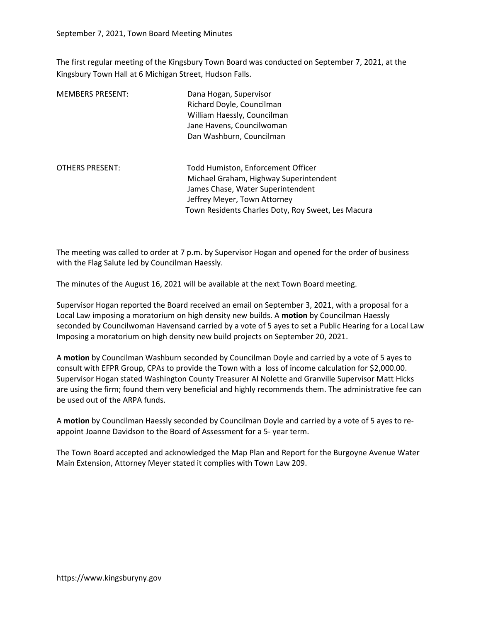The first regular meeting of the Kingsbury Town Board was conducted on September 7, 2021, at the Kingsbury Town Hall at 6 Michigan Street, Hudson Falls.

| <b>MEMBERS PRESENT:</b> | Dana Hogan, Supervisor<br>Richard Doyle, Councilman<br>William Haessly, Councilman<br>Jane Havens, Councilwoman<br>Dan Washburn, Councilman                                                             |
|-------------------------|---------------------------------------------------------------------------------------------------------------------------------------------------------------------------------------------------------|
| <b>OTHERS PRESENT:</b>  | Todd Humiston, Enforcement Officer<br>Michael Graham, Highway Superintendent<br>James Chase, Water Superintendent<br>Jeffrey Meyer, Town Attorney<br>Town Residents Charles Doty, Roy Sweet, Les Macura |

The meeting was called to order at 7 p.m. by Supervisor Hogan and opened for the order of business with the Flag Salute led by Councilman Haessly.

The minutes of the August 16, 2021 will be available at the next Town Board meeting.

Supervisor Hogan reported the Board received an email on September 3, 2021, with a proposal for a Local Law imposing a moratorium on high density new builds. A motion by Councilman Haessly seconded by Councilwoman Havensand carried by a vote of 5 ayes to set a Public Hearing for a Local Law Imposing a moratorium on high density new build projects on September 20, 2021.

A motion by Councilman Washburn seconded by Councilman Doyle and carried by a vote of 5 ayes to consult with EFPR Group, CPAs to provide the Town with a loss of income calculation for \$2,000.00. Supervisor Hogan stated Washington County Treasurer Al Nolette and Granville Supervisor Matt Hicks are using the firm; found them very beneficial and highly recommends them. The administrative fee can be used out of the ARPA funds.

A motion by Councilman Haessly seconded by Councilman Doyle and carried by a vote of 5 ayes to reappoint Joanne Davidson to the Board of Assessment for a 5- year term.

The Town Board accepted and acknowledged the Map Plan and Report for the Burgoyne Avenue Water Main Extension, Attorney Meyer stated it complies with Town Law 209.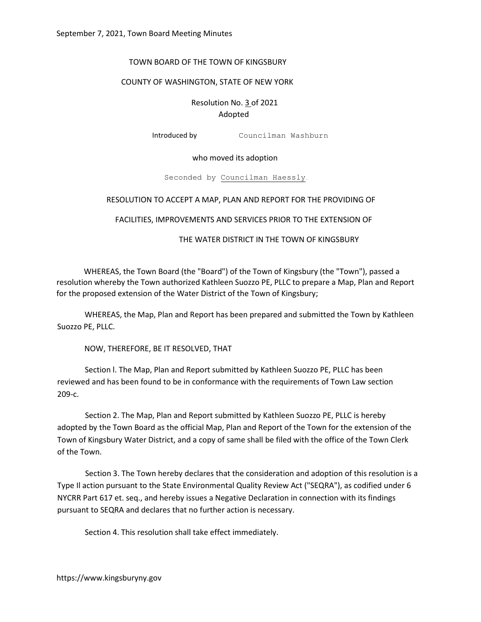# TOWN BOARD OF THE TOWN OF KINGSBURY

# COUNTY OF WASHINGTON, STATE OF NEW YORK

Resolution No. 3 of 2021 Adopted

Introduced by Councilman Washburn

# who moved its adoption

Seconded by Councilman Haessly

### RESOLUTION TO ACCEPT A MAP, PLAN AND REPORT FOR THE PROVIDING OF

FACILITIES, IMPROVEMENTS AND SERVICES PRIOR TO THE EXTENSION OF

### THE WATER DISTRICT IN THE TOWN OF KINGSBURY

WHEREAS, the Town Board (the "Board") of the Town of Kingsbury (the "Town"), passed a resolution whereby the Town authorized Kathleen Suozzo PE, PLLC to prepare a Map, Plan and Report for the proposed extension of the Water District of the Town of Kingsbury;

WHEREAS, the Map, Plan and Report has been prepared and submitted the Town by Kathleen Suozzo PE, PLLC.

NOW, THEREFORE, BE IT RESOLVED, THAT

Section l. The Map, Plan and Report submitted by Kathleen Suozzo PE, PLLC has been reviewed and has been found to be in conformance with the requirements of Town Law section 209-c.

Section 2. The Map, Plan and Report submitted by Kathleen Suozzo PE, PLLC is hereby adopted by the Town Board as the official Map, Plan and Report of the Town for the extension of the Town of Kingsbury Water District, and a copy of same shall be filed with the office of the Town Clerk of the Town.

Section 3. The Town hereby declares that the consideration and adoption of this resolution is a Type Il action pursuant to the State Environmental Quality Review Act ("SEQRA"), as codified under 6 NYCRR Part 617 et. seq., and hereby issues a Negative Declaration in connection with its findings pursuant to SEQRA and declares that no further action is necessary.

Section 4. This resolution shall take effect immediately.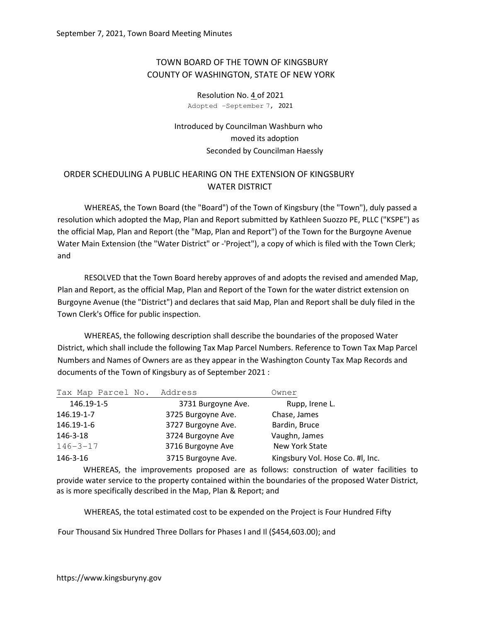# TOWN BOARD OF THE TOWN OF KINGSBURY COUNTY OF WASHINGTON, STATE OF NEW YORK

Resolution No. 4 of 2021 Adopted -September 7, 2021

Introduced by Councilman Washburn who moved its adoption Seconded by Councilman Haessly

# ORDER SCHEDULING A PUBLIC HEARING ON THE EXTENSION OF KINGSBURY WATER DISTRICT

WHEREAS, the Town Board (the "Board") of the Town of Kingsbury (the "Town"), duly passed a resolution which adopted the Map, Plan and Report submitted by Kathleen Suozzo PE, PLLC ("KSPE") as the official Map, Plan and Report (the "Map, Plan and Report") of the Town for the Burgoyne Avenue Water Main Extension (the "Water District" or -'Project"), a copy of which is filed with the Town Clerk; and

RESOLVED that the Town Board hereby approves of and adopts the revised and amended Map, Plan and Report, as the official Map, Plan and Report of the Town for the water district extension on Burgoyne Avenue (the "District") and declares that said Map, Plan and Report shall be duly filed in the Town Clerk's Office for public inspection.

WHEREAS, the following description shall describe the boundaries of the proposed Water District, which shall include the following Tax Map Parcel Numbers. Reference to Town Tax Map Parcel Numbers and Names of Owners are as they appear in the Washington County Tax Map Records and documents of the Town of Kingsbury as of September 2021 :

| Tax Map Parcel No. Address |                    | Owner                            |
|----------------------------|--------------------|----------------------------------|
| 146.19-1-5                 | 3731 Burgoyne Ave. | Rupp, Irene L.                   |
| 146.19-1-7                 | 3725 Burgoyne Ave. | Chase, James                     |
| 146.19-1-6                 | 3727 Burgoyne Ave. | Bardin, Bruce                    |
| 146-3-18                   | 3724 Burgoyne Ave  | Vaughn, James                    |
| $146 - 3 - 17$             | 3716 Burgoyne Ave  | New York State                   |
| 146-3-16                   | 3715 Burgoyne Ave. | Kingsbury Vol. Hose Co. #I, Inc. |

WHEREAS, the improvements proposed are as follows: construction of water facilities to provide water service to the property contained within the boundaries of the proposed Water District, as is more specifically described in the Map, Plan & Report; and

WHEREAS, the total estimated cost to be expended on the Project is Four Hundred Fifty

Four Thousand Six Hundred Three Dollars for Phases I and Il (\$454,603.00); and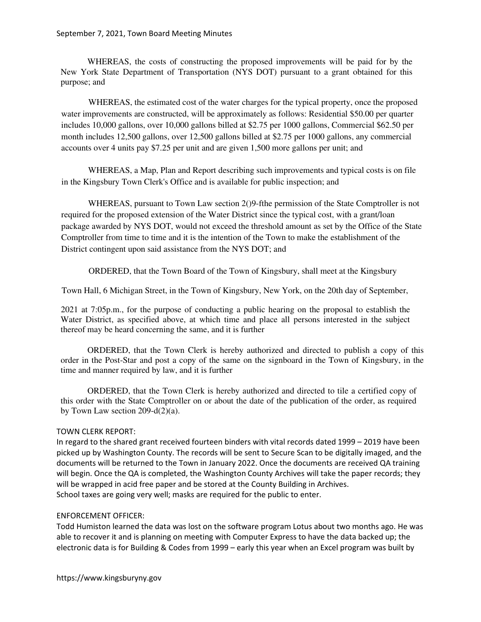WHEREAS, the costs of constructing the proposed improvements will be paid for by the New York State Department of Transportation (NYS DOT) pursuant to a grant obtained for this purpose; and

WHEREAS, the estimated cost of the water charges for the typical property, once the proposed water improvements are constructed, will be approximately as follows: Residential \$50.00 per quarter includes 10,000 gallons, over 10,000 gallons billed at \$2.75 per 1000 gallons, Commercial \$62.50 per month includes 12,500 gallons, over 12,500 gallons billed at \$2.75 per 1000 gallons, any commercial accounts over 4 units pay \$7.25 per unit and are given 1,500 more gallons per unit; and

WHEREAS, a Map, Plan and Report describing such improvements and typical costs is on file in the Kingsbury Town Clerk's Office and is available for public inspection; and

WHEREAS, pursuant to Town Law section 2()9-fthe permission of the State Comptroller is not required for the proposed extension of the Water District since the typical cost, with a grant/loan package awarded by NYS DOT, would not exceed the threshold amount as set by the Office of the State Comptroller from time to time and it is the intention of the Town to make the establishment of the District contingent upon said assistance from the NYS DOT; and

ORDERED, that the Town Board of the Town of Kingsbury, shall meet at the Kingsbury

Town Hall, 6 Michigan Street, in the Town of Kingsbury, New York, on the 20th day of September,

2021 at 7:05p.m., for the purpose of conducting a public hearing on the proposal to establish the Water District, as specified above, at which time and place all persons interested in the subject thereof may be heard concerning the same, and it is further

ORDERED, that the Town Clerk is hereby authorized and directed to publish a copy of this order in the Post-Star and post a copy of the same on the signboard in the Town of Kingsbury, in the time and manner required by law, and it is further

ORDERED, that the Town Clerk is hereby authorized and directed to tile a certified copy of this order with the State Comptroller on or about the date of the publication of the order, as required by Town Law section 209-d(2)(a).

# TOWN CLERK REPORT:

In regard to the shared grant received fourteen binders with vital records dated 1999 – 2019 have been picked up by Washington County. The records will be sent to Secure Scan to be digitally imaged, and the documents will be returned to the Town in January 2022. Once the documents are received QA training will begin. Once the QA is completed, the Washington County Archives will take the paper records; they will be wrapped in acid free paper and be stored at the County Building in Archives. School taxes are going very well; masks are required for the public to enter.

### ENFORCEMENT OFFICER:

Todd Humiston learned the data was lost on the software program Lotus about two months ago. He was able to recover it and is planning on meeting with Computer Express to have the data backed up; the electronic data is for Building & Codes from 1999 – early this year when an Excel program was built by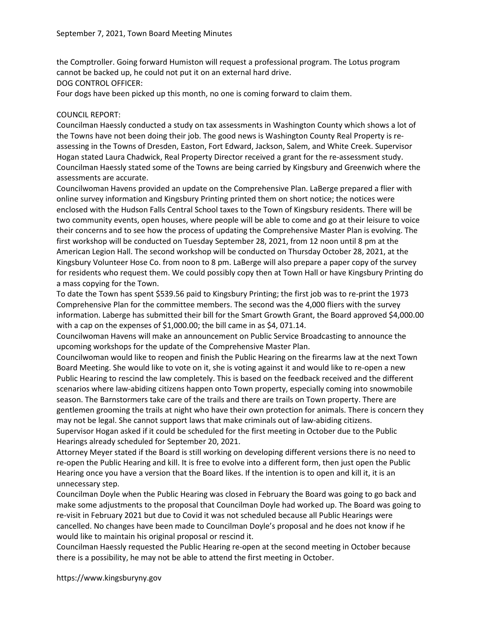the Comptroller. Going forward Humiston will request a professional program. The Lotus program cannot be backed up, he could not put it on an external hard drive.

DOG CONTROL OFFICER:

Four dogs have been picked up this month, no one is coming forward to claim them.

# COUNCIL REPORT:

Councilman Haessly conducted a study on tax assessments in Washington County which shows a lot of the Towns have not been doing their job. The good news is Washington County Real Property is reassessing in the Towns of Dresden, Easton, Fort Edward, Jackson, Salem, and White Creek. Supervisor Hogan stated Laura Chadwick, Real Property Director received a grant for the re-assessment study. Councilman Haessly stated some of the Towns are being carried by Kingsbury and Greenwich where the assessments are accurate.

Councilwoman Havens provided an update on the Comprehensive Plan. LaBerge prepared a flier with online survey information and Kingsbury Printing printed them on short notice; the notices were enclosed with the Hudson Falls Central School taxes to the Town of Kingsbury residents. There will be two community events, open houses, where people will be able to come and go at their leisure to voice their concerns and to see how the process of updating the Comprehensive Master Plan is evolving. The first workshop will be conducted on Tuesday September 28, 2021, from 12 noon until 8 pm at the American Legion Hall. The second workshop will be conducted on Thursday October 28, 2021, at the Kingsbury Volunteer Hose Co. from noon to 8 pm. LaBerge will also prepare a paper copy of the survey for residents who request them. We could possibly copy then at Town Hall or have Kingsbury Printing do a mass copying for the Town.

To date the Town has spent \$539.56 paid to Kingsbury Printing; the first job was to re-print the 1973 Comprehensive Plan for the committee members. The second was the 4,000 fliers with the survey information. Laberge has submitted their bill for the Smart Growth Grant, the Board approved \$4,000.00 with a cap on the expenses of \$1,000.00; the bill came in as \$4, 071.14.

Councilwoman Havens will make an announcement on Public Service Broadcasting to announce the upcoming workshops for the update of the Comprehensive Master Plan.

Councilwoman would like to reopen and finish the Public Hearing on the firearms law at the next Town Board Meeting. She would like to vote on it, she is voting against it and would like to re-open a new Public Hearing to rescind the law completely. This is based on the feedback received and the different scenarios where law-abiding citizens happen onto Town property, especially coming into snowmobile season. The Barnstormers take care of the trails and there are trails on Town property. There are gentlemen grooming the trails at night who have their own protection for animals. There is concern they may not be legal. She cannot support laws that make criminals out of law-abiding citizens. Supervisor Hogan asked if it could be scheduled for the first meeting in October due to the Public Hearings already scheduled for September 20, 2021.

Attorney Meyer stated if the Board is still working on developing different versions there is no need to re-open the Public Hearing and kill. It is free to evolve into a different form, then just open the Public Hearing once you have a version that the Board likes. If the intention is to open and kill it, it is an unnecessary step.

Councilman Doyle when the Public Hearing was closed in February the Board was going to go back and make some adjustments to the proposal that Councilman Doyle had worked up. The Board was going to re-visit in February 2021 but due to Covid it was not scheduled because all Public Hearings were cancelled. No changes have been made to Councilman Doyle's proposal and he does not know if he would like to maintain his original proposal or rescind it.

Councilman Haessly requested the Public Hearing re-open at the second meeting in October because there is a possibility, he may not be able to attend the first meeting in October.